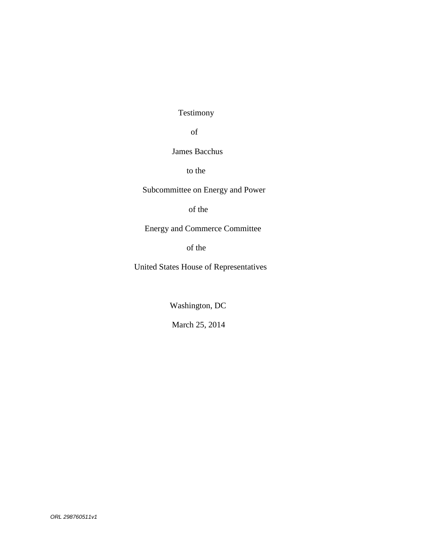Testimony

of

James Bacchus

to the

Subcommittee on Energy and Power

of the

Energy and Commerce Committee

of the

United States House of Representatives

Washington, DC

March 25, 2014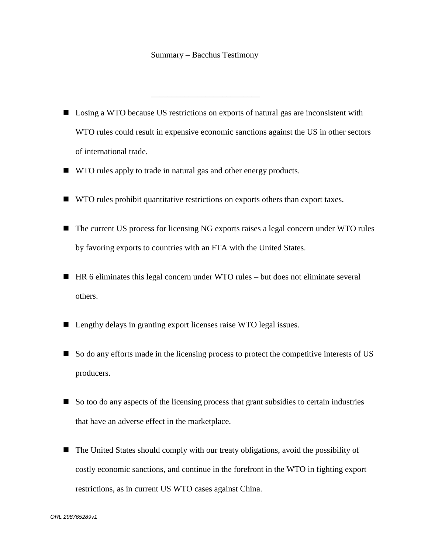## Summary – Bacchus Testimony

\_\_\_\_\_\_\_\_\_\_\_\_\_\_\_\_\_\_\_\_\_\_\_\_\_\_

- Losing a WTO because US restrictions on exports of natural gas are inconsistent with WTO rules could result in expensive economic sanctions against the US in other sectors of international trade.
- WTO rules apply to trade in natural gas and other energy products.
- WTO rules prohibit quantitative restrictions on exports others than export taxes.
- The current US process for licensing NG exports raises a legal concern under WTO rules by favoring exports to countries with an FTA with the United States.
- $\blacksquare$  HR 6 eliminates this legal concern under WTO rules but does not eliminate several others.
- Lengthy delays in granting export licenses raise WTO legal issues.
- So do any efforts made in the licensing process to protect the competitive interests of US producers.
- So too do any aspects of the licensing process that grant subsidies to certain industries that have an adverse effect in the marketplace.
- The United States should comply with our treaty obligations, avoid the possibility of costly economic sanctions, and continue in the forefront in the WTO in fighting export restrictions, as in current US WTO cases against China.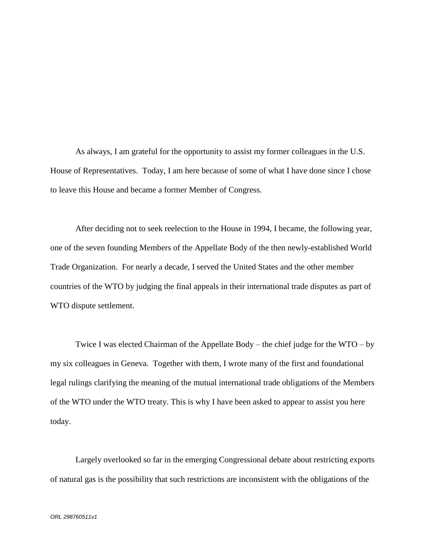As always, I am grateful for the opportunity to assist my former colleagues in the U.S. House of Representatives. Today, I am here because of some of what I have done since I chose to leave this House and became a former Member of Congress.

After deciding not to seek reelection to the House in 1994, I became, the following year, one of the seven founding Members of the Appellate Body of the then newly-established World Trade Organization. For nearly a decade, I served the United States and the other member countries of the WTO by judging the final appeals in their international trade disputes as part of WTO dispute settlement.

Twice I was elected Chairman of the Appellate Body – the chief judge for the WTO – by my six colleagues in Geneva. Together with them, I wrote many of the first and foundational legal rulings clarifying the meaning of the mutual international trade obligations of the Members of the WTO under the WTO treaty. This is why I have been asked to appear to assist you here today.

Largely overlooked so far in the emerging Congressional debate about restricting exports of natural gas is the possibility that such restrictions are inconsistent with the obligations of the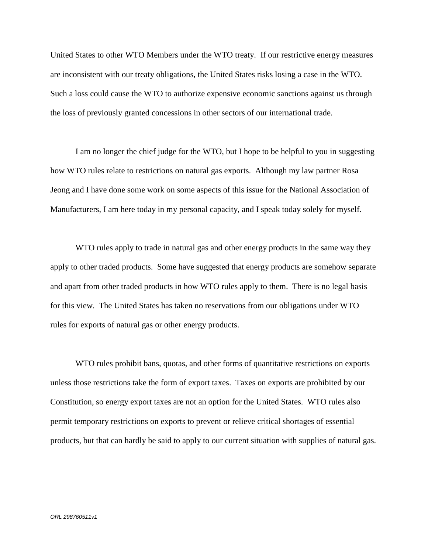United States to other WTO Members under the WTO treaty. If our restrictive energy measures are inconsistent with our treaty obligations, the United States risks losing a case in the WTO. Such a loss could cause the WTO to authorize expensive economic sanctions against us through the loss of previously granted concessions in other sectors of our international trade.

I am no longer the chief judge for the WTO, but I hope to be helpful to you in suggesting how WTO rules relate to restrictions on natural gas exports. Although my law partner Rosa Jeong and I have done some work on some aspects of this issue for the National Association of Manufacturers, I am here today in my personal capacity, and I speak today solely for myself.

WTO rules apply to trade in natural gas and other energy products in the same way they apply to other traded products. Some have suggested that energy products are somehow separate and apart from other traded products in how WTO rules apply to them. There is no legal basis for this view. The United States has taken no reservations from our obligations under WTO rules for exports of natural gas or other energy products.

WTO rules prohibit bans, quotas, and other forms of quantitative restrictions on exports unless those restrictions take the form of export taxes. Taxes on exports are prohibited by our Constitution, so energy export taxes are not an option for the United States. WTO rules also permit temporary restrictions on exports to prevent or relieve critical shortages of essential products, but that can hardly be said to apply to our current situation with supplies of natural gas.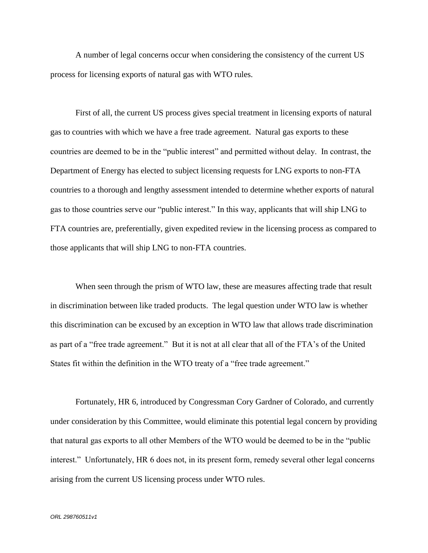A number of legal concerns occur when considering the consistency of the current US process for licensing exports of natural gas with WTO rules.

First of all, the current US process gives special treatment in licensing exports of natural gas to countries with which we have a free trade agreement. Natural gas exports to these countries are deemed to be in the "public interest" and permitted without delay. In contrast, the Department of Energy has elected to subject licensing requests for LNG exports to non-FTA countries to a thorough and lengthy assessment intended to determine whether exports of natural gas to those countries serve our "public interest." In this way, applicants that will ship LNG to FTA countries are, preferentially, given expedited review in the licensing process as compared to those applicants that will ship LNG to non-FTA countries.

When seen through the prism of WTO law, these are measures affecting trade that result in discrimination between like traded products. The legal question under WTO law is whether this discrimination can be excused by an exception in WTO law that allows trade discrimination as part of a "free trade agreement." But it is not at all clear that all of the FTA's of the United States fit within the definition in the WTO treaty of a "free trade agreement."

Fortunately, HR 6, introduced by Congressman Cory Gardner of Colorado, and currently under consideration by this Committee, would eliminate this potential legal concern by providing that natural gas exports to all other Members of the WTO would be deemed to be in the "public interest." Unfortunately, HR 6 does not, in its present form, remedy several other legal concerns arising from the current US licensing process under WTO rules.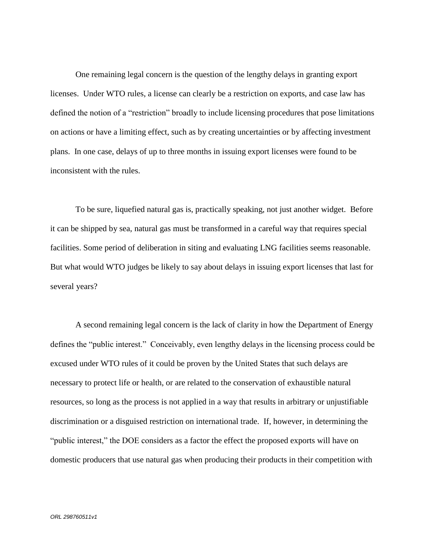One remaining legal concern is the question of the lengthy delays in granting export licenses. Under WTO rules, a license can clearly be a restriction on exports, and case law has defined the notion of a "restriction" broadly to include licensing procedures that pose limitations on actions or have a limiting effect, such as by creating uncertainties or by affecting investment plans. In one case, delays of up to three months in issuing export licenses were found to be inconsistent with the rules.

To be sure, liquefied natural gas is, practically speaking, not just another widget. Before it can be shipped by sea, natural gas must be transformed in a careful way that requires special facilities. Some period of deliberation in siting and evaluating LNG facilities seems reasonable. But what would WTO judges be likely to say about delays in issuing export licenses that last for several years?

A second remaining legal concern is the lack of clarity in how the Department of Energy defines the "public interest." Conceivably, even lengthy delays in the licensing process could be excused under WTO rules of it could be proven by the United States that such delays are necessary to protect life or health, or are related to the conservation of exhaustible natural resources, so long as the process is not applied in a way that results in arbitrary or unjustifiable discrimination or a disguised restriction on international trade. If, however, in determining the "public interest," the DOE considers as a factor the effect the proposed exports will have on domestic producers that use natural gas when producing their products in their competition with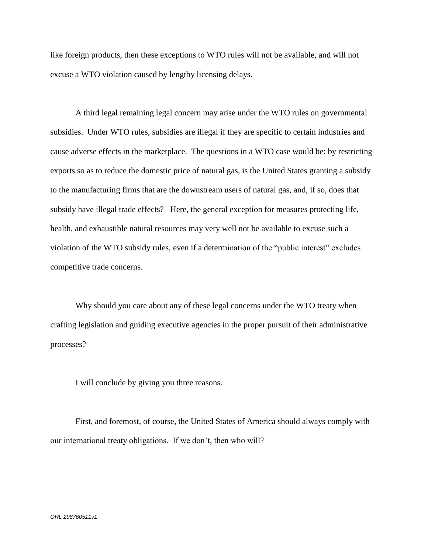like foreign products, then these exceptions to WTO rules will not be available, and will not excuse a WTO violation caused by lengthy licensing delays.

A third legal remaining legal concern may arise under the WTO rules on governmental subsidies. Under WTO rules, subsidies are illegal if they are specific to certain industries and cause adverse effects in the marketplace. The questions in a WTO case would be: by restricting exports so as to reduce the domestic price of natural gas, is the United States granting a subsidy to the manufacturing firms that are the downstream users of natural gas, and, if so, does that subsidy have illegal trade effects? Here, the general exception for measures protecting life, health, and exhaustible natural resources may very well not be available to excuse such a violation of the WTO subsidy rules, even if a determination of the "public interest" excludes competitive trade concerns.

Why should you care about any of these legal concerns under the WTO treaty when crafting legislation and guiding executive agencies in the proper pursuit of their administrative processes?

I will conclude by giving you three reasons.

First, and foremost, of course, the United States of America should always comply with our international treaty obligations. If we don't, then who will?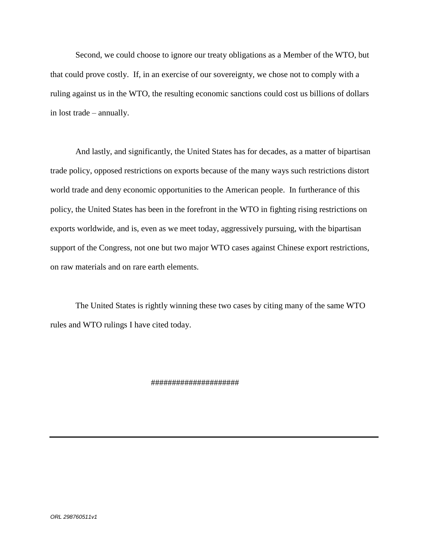Second, we could choose to ignore our treaty obligations as a Member of the WTO, but that could prove costly. If, in an exercise of our sovereignty, we chose not to comply with a ruling against us in the WTO, the resulting economic sanctions could cost us billions of dollars in lost trade – annually.

And lastly, and significantly, the United States has for decades, as a matter of bipartisan trade policy, opposed restrictions on exports because of the many ways such restrictions distort world trade and deny economic opportunities to the American people. In furtherance of this policy, the United States has been in the forefront in the WTO in fighting rising restrictions on exports worldwide, and is, even as we meet today, aggressively pursuing, with the bipartisan support of the Congress, not one but two major WTO cases against Chinese export restrictions, on raw materials and on rare earth elements.

The United States is rightly winning these two cases by citing many of the same WTO rules and WTO rulings I have cited today.

## #####################